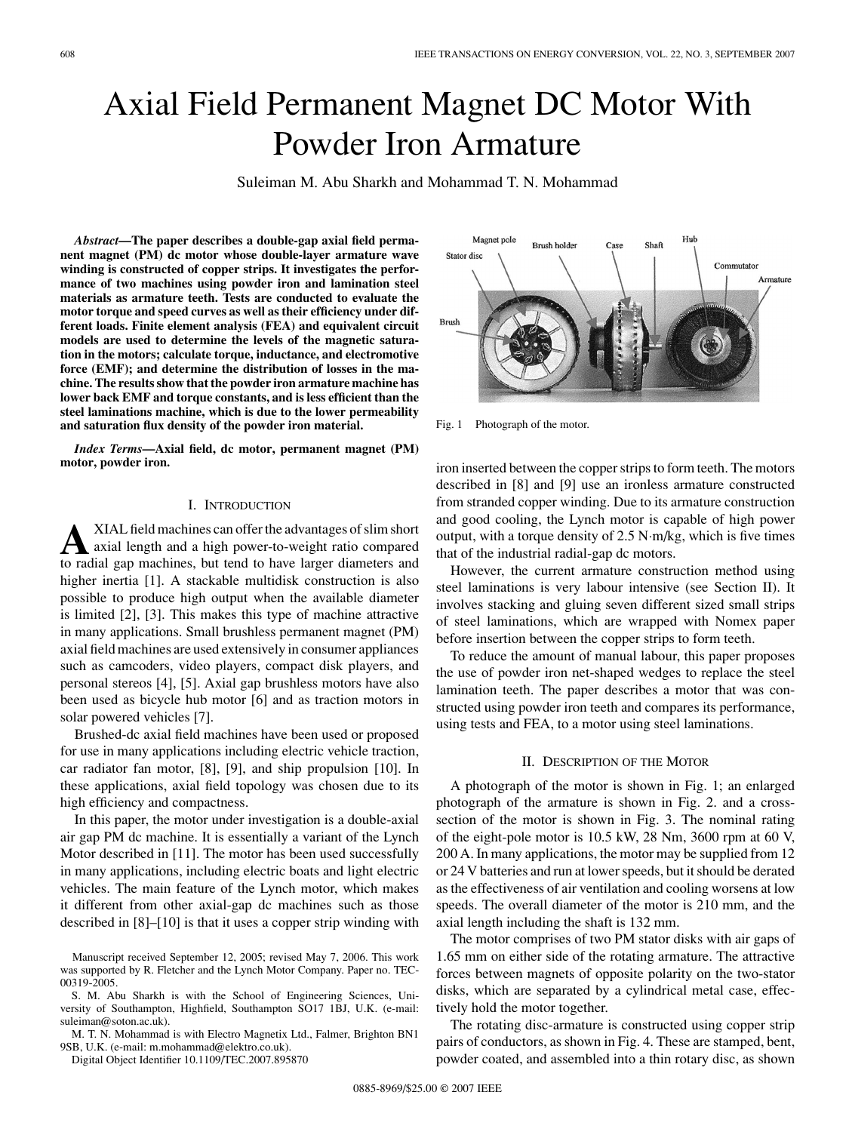# Axial Field Permanent Magnet DC Motor With Powder Iron Armature

Suleiman M. Abu Sharkh and Mohammad T. N. Mohammad

*Abstract***—The paper describes a double-gap axial field permanent magnet (PM) dc motor whose double-layer armature wave winding is constructed of copper strips. It investigates the performance of two machines using powder iron and lamination steel materials as armature teeth. Tests are conducted to evaluate the motor torque and speed curves as well as their efficiency under different loads. Finite element analysis (FEA) and equivalent circuit models are used to determine the levels of the magnetic saturation in the motors; calculate torque, inductance, and electromotive force (EMF); and determine the distribution of losses in the machine. The results show that the powder iron armature machine has lower back EMF and torque constants, and is less efficient than the steel laminations machine, which is due to the lower permeability and saturation flux density of the powder iron material.**

*Index Terms***—Axial field, dc motor, permanent magnet (PM) motor, powder iron.**

# I. INTRODUCTION

**A**XIAL field machines can offer the advantages of slim short<br>axial length and a high power-to-weight ratio compared<br>to radial gap machines, but tend to have larger diameters and to radial gap machines, but tend to have larger diameters and higher inertia [1]. A stackable multidisk construction is also possible to produce high output when the available diameter is limited [2], [3]. This makes this type of machine attractive in many applications. Small brushless permanent magnet (PM) axial field machines are used extensively in consumer appliances such as camcoders, video players, compact disk players, and personal stereos [4], [5]. Axial gap brushless motors have also been used as bicycle hub motor [6] and as traction motors in solar powered vehicles [7].

Brushed-dc axial field machines have been used or proposed for use in many applications including electric vehicle traction, car radiator fan motor, [8], [9], and ship propulsion [10]. In these applications, axial field topology was chosen due to its high efficiency and compactness.

In this paper, the motor under investigation is a double-axial air gap PM dc machine. It is essentially a variant of the Lynch Motor described in [11]. The motor has been used successfully in many applications, including electric boats and light electric vehicles. The main feature of the Lynch motor, which makes it different from other axial-gap dc machines such as those described in [8]–[10] is that it uses a copper strip winding with

S. M. Abu Sharkh is with the School of Engineering Sciences, University of Southampton, Highfield, Southampton SO17 1BJ, U.K. (e-mail: suleiman@soton.ac.uk).

M. T. N. Mohammad is with Electro Magnetix Ltd., Falmer, Brighton BN1 9SB, U.K. (e-mail: m.mohammad@elektro.co.uk).

Digital Object Identifier 10.1109/TEC.2007.895870



Fig. 1 Photograph of the motor.

iron inserted between the copper strips to form teeth. The motors described in [8] and [9] use an ironless armature constructed from stranded copper winding. Due to its armature construction and good cooling, the Lynch motor is capable of high power output, with a torque density of 2.5 N·m/kg, which is five times that of the industrial radial-gap dc motors.

However, the current armature construction method using steel laminations is very labour intensive (see Section II). It involves stacking and gluing seven different sized small strips of steel laminations, which are wrapped with Nomex paper before insertion between the copper strips to form teeth.

To reduce the amount of manual labour, this paper proposes the use of powder iron net-shaped wedges to replace the steel lamination teeth. The paper describes a motor that was constructed using powder iron teeth and compares its performance, using tests and FEA, to a motor using steel laminations.

### II. DESCRIPTION OF THE MOTOR

A photograph of the motor is shown in Fig. 1; an enlarged photograph of the armature is shown in Fig. 2. and a crosssection of the motor is shown in Fig. 3. The nominal rating of the eight-pole motor is 10.5 kW, 28 Nm, 3600 rpm at 60 V, 200 A. In many applications, the motor may be supplied from 12 or 24 V batteries and run at lower speeds, but it should be derated as the effectiveness of air ventilation and cooling worsens at low speeds. The overall diameter of the motor is 210 mm, and the axial length including the shaft is 132 mm.

The motor comprises of two PM stator disks with air gaps of 1.65 mm on either side of the rotating armature. The attractive forces between magnets of opposite polarity on the two-stator disks, which are separated by a cylindrical metal case, effectively hold the motor together.

The rotating disc-armature is constructed using copper strip pairs of conductors, as shown in Fig. 4. These are stamped, bent, powder coated, and assembled into a thin rotary disc, as shown

Manuscript received September 12, 2005; revised May 7, 2006. This work was supported by R. Fletcher and the Lynch Motor Company. Paper no. TEC-00319-2005.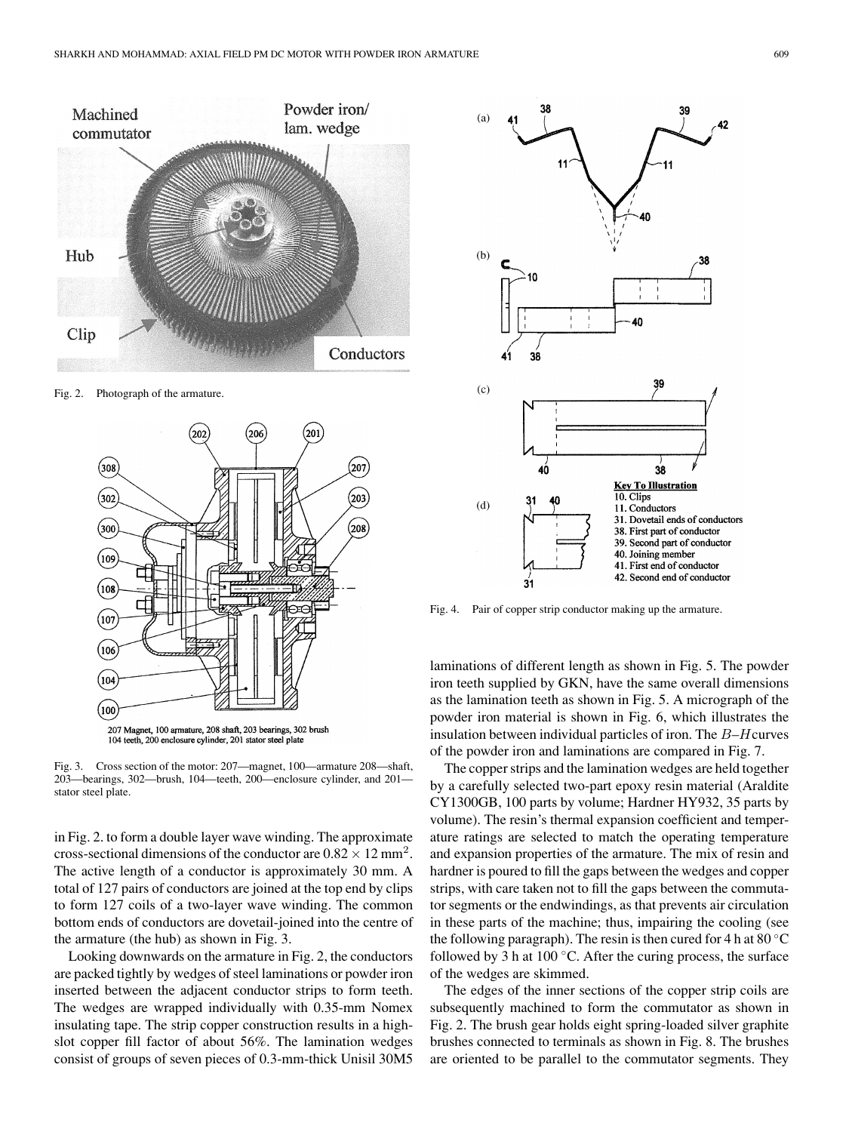

Fig. 2. Photograph of the armature.



Fig. 3. Cross section of the motor: 207—magnet, 100—armature 208—shaft, 203—bearings, 302—brush, 104—teeth, 200—enclosure cylinder, and 201 stator steel plate.

in Fig. 2. to form a double layer wave winding. The approximate cross-sectional dimensions of the conductor are  $0.82 \times 12$  mm<sup>2</sup>. The active length of a conductor is approximately 30 mm. A total of 127 pairs of conductors are joined at the top end by clips to form 127 coils of a two-layer wave winding. The common bottom ends of conductors are dovetail-joined into the centre of the armature (the hub) as shown in Fig. 3.

Looking downwards on the armature in Fig. 2, the conductors are packed tightly by wedges of steel laminations or powder iron inserted between the adjacent conductor strips to form teeth. The wedges are wrapped individually with 0.35-mm Nomex insulating tape. The strip copper construction results in a highslot copper fill factor of about 56%. The lamination wedges consist of groups of seven pieces of 0.3-mm-thick Unisil 30M5



Fig. 4. Pair of copper strip conductor making up the armature.

laminations of different length as shown in Fig. 5. The powder iron teeth supplied by GKN, have the same overall dimensions as the lamination teeth as shown in Fig. 5. A micrograph of the powder iron material is shown in Fig. 6, which illustrates the insulation between individual particles of iron. The B–Hcurves of the powder iron and laminations are compared in Fig. 7.

The copper strips and the lamination wedges are held together by a carefully selected two-part epoxy resin material (Araldite CY1300GB, 100 parts by volume; Hardner HY932, 35 parts by volume). The resin's thermal expansion coefficient and temperature ratings are selected to match the operating temperature and expansion properties of the armature. The mix of resin and hardner is poured to fill the gaps between the wedges and copper strips, with care taken not to fill the gaps between the commutator segments or the endwindings, as that prevents air circulation in these parts of the machine; thus, impairing the cooling (see the following paragraph). The resin is then cured for 4 h at  $80^{\circ}$ C followed by 3 h at  $100 °C$ . After the curing process, the surface of the wedges are skimmed.

The edges of the inner sections of the copper strip coils are subsequently machined to form the commutator as shown in Fig. 2. The brush gear holds eight spring-loaded silver graphite brushes connected to terminals as shown in Fig. 8. The brushes are oriented to be parallel to the commutator segments. They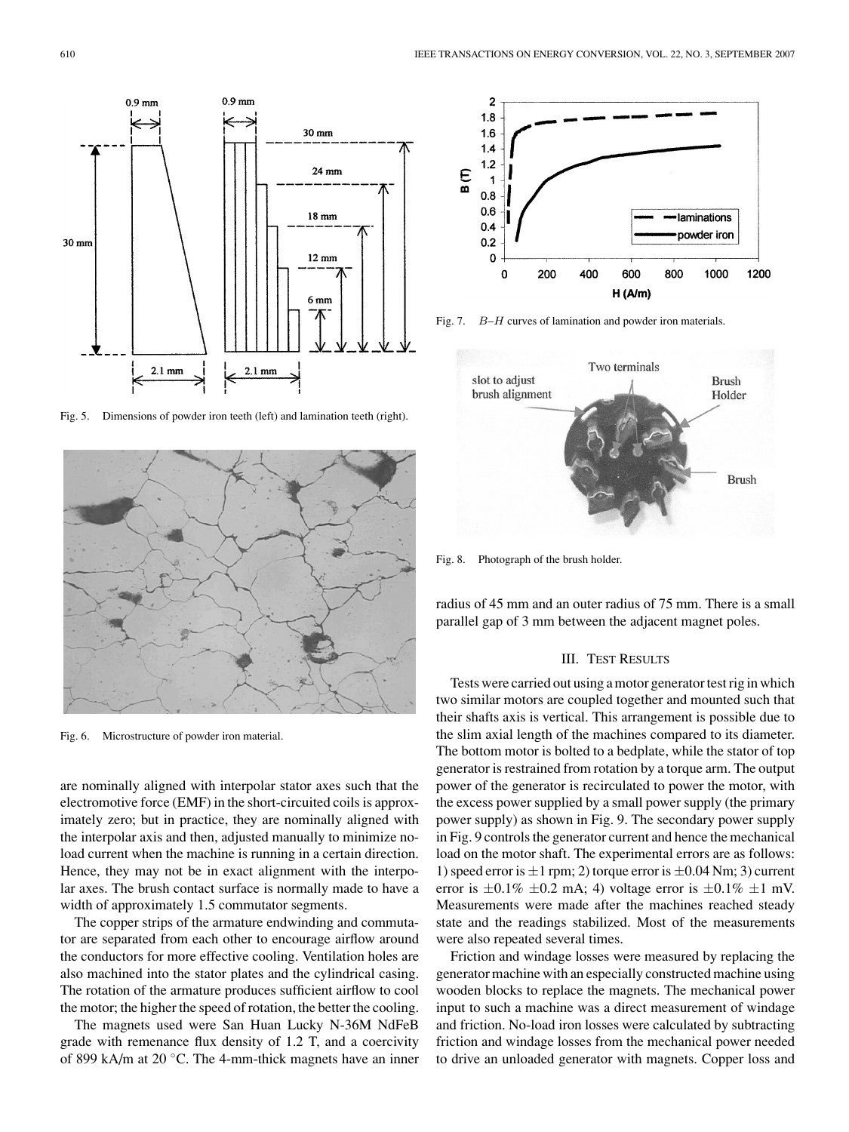

Fig. 5. Dimensions of powder iron teeth (left) and lamination teeth (right).



Fig. 6. Microstructure of powder iron material.

are nominally aligned with interpolar stator axes such that the electromotive force (EMF) in the short-circuited coils is approximately zero; but in practice, they are nominally aligned with the interpolar axis and then, adjusted manually to minimize noload current when the machine is running in a certain direction. Hence, they may not be in exact alignment with the interpolar axes. The brush contact surface is normally made to have a width of approximately 1.5 commutator segments.

The copper strips of the armature endwinding and commutator are separated from each other to encourage airflow around the conductors for more effective cooling. Ventilation holes are also machined into the stator plates and the cylindrical casing. The rotation of the armature produces sufficient airflow to cool the motor; the higher the speed of rotation, the better the cooling.

The magnets used were San Huan Lucky N-36M NdFeB grade with remenance flux density of 1.2 T, and a coercivity of 899 kA/m at 20 ◦C. The 4-mm-thick magnets have an inner



Fig. 7. B–H curves of lamination and powder iron materials.



Fig. 8. Photograph of the brush holder.

radius of 45 mm and an outer radius of 75 mm. There is a small parallel gap of 3 mm between the adjacent magnet poles.

#### III. TEST RESULTS

Tests were carried out using a motor generator test rig in which two similar motors are coupled together and mounted such that their shafts axis is vertical. This arrangement is possible due to the slim axial length of the machines compared to its diameter. The bottom motor is bolted to a bedplate, while the stator of top generator is restrained from rotation by a torque arm. The output power of the generator is recirculated to power the motor, with the excess power supplied by a small power supply (the primary power supply) as shown in Fig. 9. The secondary power supply in Fig. 9 controls the generator current and hence the mechanical load on the motor shaft. The experimental errors are as follows: 1) speed error is  $\pm 1$  rpm; 2) torque error is  $\pm 0.04$  Nm; 3) current error is  $\pm 0.1\% \pm 0.2$  mA; 4) voltage error is  $\pm 0.1\% \pm 1$  mV. Measurements were made after the machines reached steady state and the readings stabilized. Most of the measurements were also repeated several times.

Friction and windage losses were measured by replacing the generator machine with an especially constructed machine using wooden blocks to replace the magnets. The mechanical power input to such a machine was a direct measurement of windage and friction. No-load iron losses were calculated by subtracting friction and windage losses from the mechanical power needed to drive an unloaded generator with magnets. Copper loss and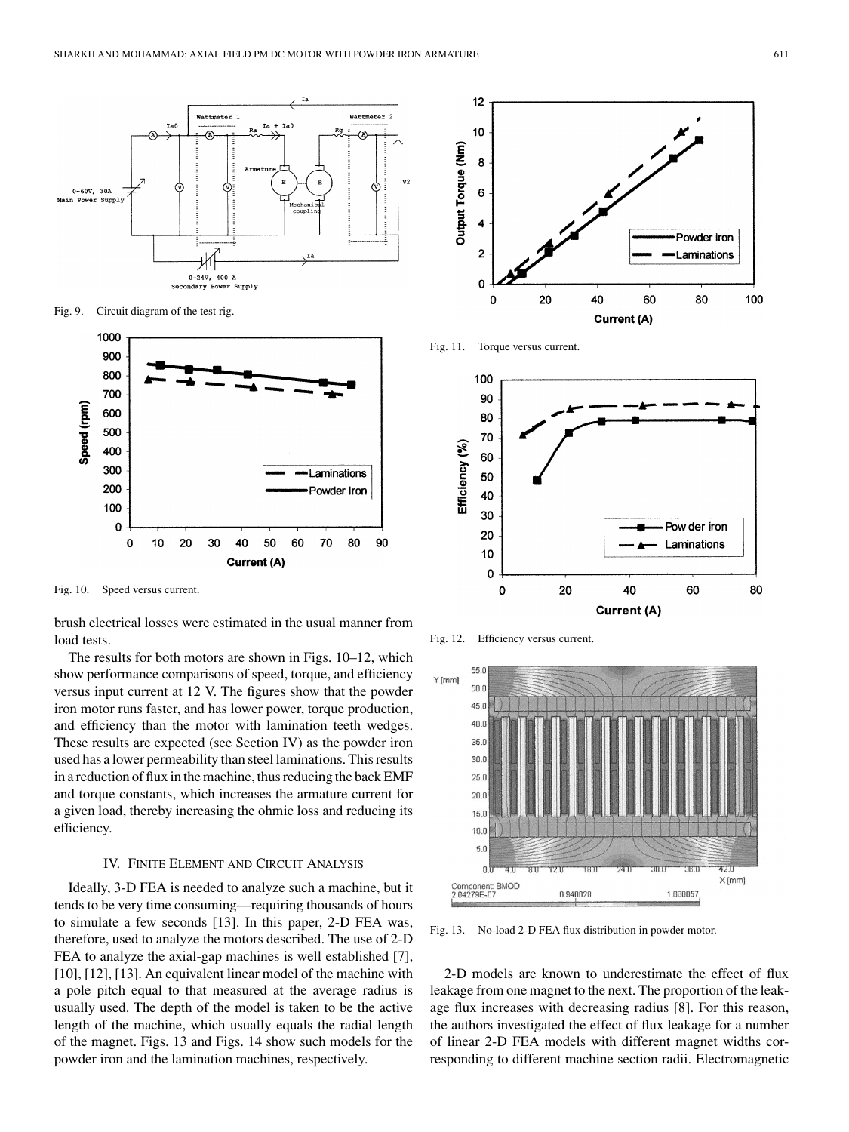

Fig. 9. Circuit diagram of the test rig.



Fig. 10. Speed versus current.

brush electrical losses were estimated in the usual manner from load tests.

The results for both motors are shown in Figs. 10–12, which show performance comparisons of speed, torque, and efficiency versus input current at 12 V. The figures show that the powder iron motor runs faster, and has lower power, torque production, and efficiency than the motor with lamination teeth wedges. These results are expected (see Section IV) as the powder iron used has a lower permeability than steel laminations. This results in a reduction of flux in the machine, thus reducing the back EMF and torque constants, which increases the armature current for a given load, thereby increasing the ohmic loss and reducing its efficiency.

# IV. FINITE ELEMENT AND CIRCUIT ANALYSIS

Ideally, 3-D FEA is needed to analyze such a machine, but it tends to be very time consuming—requiring thousands of hours to simulate a few seconds [13]. In this paper, 2-D FEA was, therefore, used to analyze the motors described. The use of 2-D FEA to analyze the axial-gap machines is well established [7], [10], [12], [13]. An equivalent linear model of the machine with a pole pitch equal to that measured at the average radius is usually used. The depth of the model is taken to be the active length of the machine, which usually equals the radial length of the magnet. Figs. 13 and Figs. 14 show such models for the powder iron and the lamination machines, respectively.



Fig. 11. Torque versus current.



Fig. 12. Efficiency versus current.



Fig. 13. No-load 2-D FEA flux distribution in powder motor.

2-D models are known to underestimate the effect of flux leakage from one magnet to the next. The proportion of the leakage flux increases with decreasing radius [8]. For this reason, the authors investigated the effect of flux leakage for a number of linear 2-D FEA models with different magnet widths corresponding to different machine section radii. Electromagnetic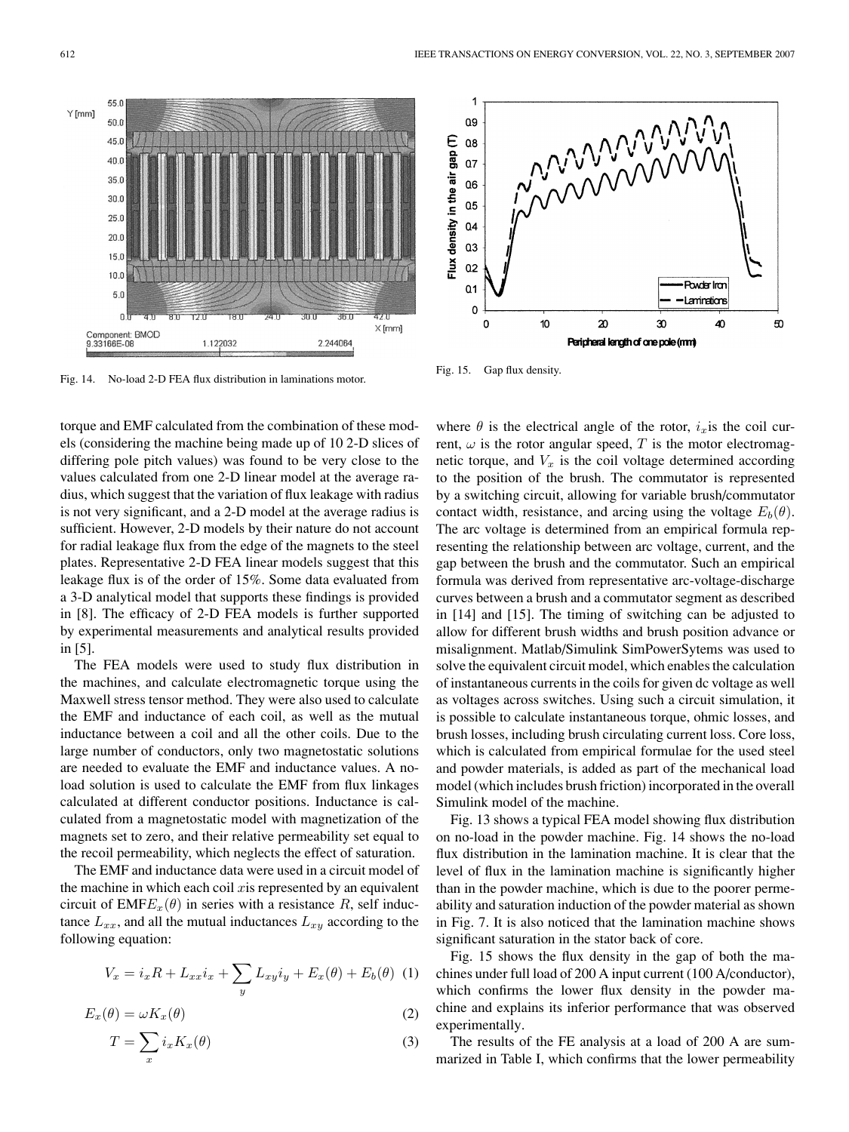Fig. 14. No-load 2-D FEA flux distribution in laminations motor.

torque and EMF calculated from the combination of these models (considering the machine being made up of 10 2-D slices of differing pole pitch values) was found to be very close to the values calculated from one 2-D linear model at the average radius, which suggest that the variation of flux leakage with radius is not very significant, and a 2-D model at the average radius is sufficient. However, 2-D models by their nature do not account for radial leakage flux from the edge of the magnets to the steel plates. Representative 2-D FEA linear models suggest that this leakage flux is of the order of 15%. Some data evaluated from a 3-D analytical model that supports these findings is provided in [8]. The efficacy of 2-D FEA models is further supported by experimental measurements and analytical results provided in [5].

The FEA models were used to study flux distribution in the machines, and calculate electromagnetic torque using the Maxwell stress tensor method. They were also used to calculate the EMF and inductance of each coil, as well as the mutual inductance between a coil and all the other coils. Due to the large number of conductors, only two magnetostatic solutions are needed to evaluate the EMF and inductance values. A noload solution is used to calculate the EMF from flux linkages calculated at different conductor positions. Inductance is calculated from a magnetostatic model with magnetization of the magnets set to zero, and their relative permeability set equal to the recoil permeability, which neglects the effect of saturation.

The EMF and inductance data were used in a circuit model of the machine in which each coil  $x$  is represented by an equivalent circuit of  $EMFE<sub>x</sub>(\theta)$  in series with a resistance R, self inductance  $L_{xx}$ , and all the mutual inductances  $L_{xy}$  according to the following equation:

$$
V_x = i_x R + L_{xx} i_x + \sum_y L_{xy} i_y + E_x(\theta) + E_b(\theta)
$$
 (1)

$$
E_x(\theta) = \omega K_x(\theta) \tag{2}
$$

$$
T = \sum_{x} i_x K_x(\theta) \tag{3}
$$

where  $\theta$  is the electrical angle of the rotor,  $i_x$  is the coil current,  $\omega$  is the rotor angular speed, T is the motor electromagnetic torque, and  $V_x$  is the coil voltage determined according to the position of the brush. The commutator is represented by a switching circuit, allowing for variable brush/commutator contact width, resistance, and arcing using the voltage  $E_b(\theta)$ . The arc voltage is determined from an empirical formula representing the relationship between arc voltage, current, and the gap between the brush and the commutator. Such an empirical formula was derived from representative arc-voltage-discharge curves between a brush and a commutator segment as described in [14] and [15]. The timing of switching can be adjusted to allow for different brush widths and brush position advance or misalignment. Matlab/Simulink SimPowerSytems was used to solve the equivalent circuit model, which enables the calculation of instantaneous currents in the coils for given dc voltage as well as voltages across switches. Using such a circuit simulation, it is possible to calculate instantaneous torque, ohmic losses, and brush losses, including brush circulating current loss. Core loss, which is calculated from empirical formulae for the used steel and powder materials, is added as part of the mechanical load model (which includes brush friction) incorporated in the overall Simulink model of the machine.

Fig. 13 shows a typical FEA model showing flux distribution on no-load in the powder machine. Fig. 14 shows the no-load flux distribution in the lamination machine. It is clear that the level of flux in the lamination machine is significantly higher than in the powder machine, which is due to the poorer permeability and saturation induction of the powder material as shown in Fig. 7. It is also noticed that the lamination machine shows significant saturation in the stator back of core.

Fig. 15 shows the flux density in the gap of both the machines under full load of 200 A input current (100 A/conductor), which confirms the lower flux density in the powder machine and explains its inferior performance that was observed experimentally.

The results of the FE analysis at a load of 200 A are summarized in Table I, which confirms that the lower permeability